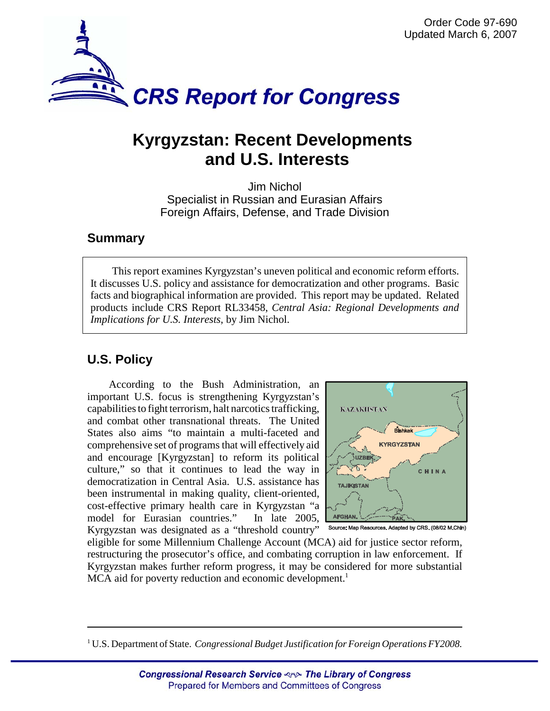

# **Kyrgyzstan: Recent Developments and U.S. Interests**

Jim Nichol Specialist in Russian and Eurasian Affairs Foreign Affairs, Defense, and Trade Division

## **Summary**

This report examines Kyrgyzstan's uneven political and economic reform efforts. It discusses U.S. policy and assistance for democratization and other programs. Basic facts and biographical information are provided. This report may be updated. Related products include CRS Report RL33458, *Central Asia: Regional Developments and Implications for U.S. Interests*, by Jim Nichol.

## **U.S. Policy**

According to the Bush Administration, an important U.S. focus is strengthening Kyrgyzstan's capabilities to fight terrorism, halt narcotics trafficking, and combat other transnational threats. The United States also aims "to maintain a multi-faceted and comprehensive set of programs that will effectively aid and encourage [Kyrgyzstan] to reform its political culture," so that it continues to lead the way in democratization in Central Asia. U.S. assistance has been instrumental in making quality, client-oriented, cost-effective primary health care in Kyrgyzstan "a model for Eurasian countries." In late 2005, Kyrgyzstan was designated as a "threshold country"



Source: Map Resources. Adapted by CRS. (08/02 M.Chin)

eligible for some Millennium Challenge Account (MCA) aid for justice sector reform, restructuring the prosecutor's office, and combating corruption in law enforcement. If Kyrgyzstan makes further reform progress, it may be considered for more substantial MCA aid for poverty reduction and economic development.<sup>1</sup>

<sup>&</sup>lt;sup>1</sup> U.S. Department of State. *Congressional Budget Justification for Foreign Operations FY2008*.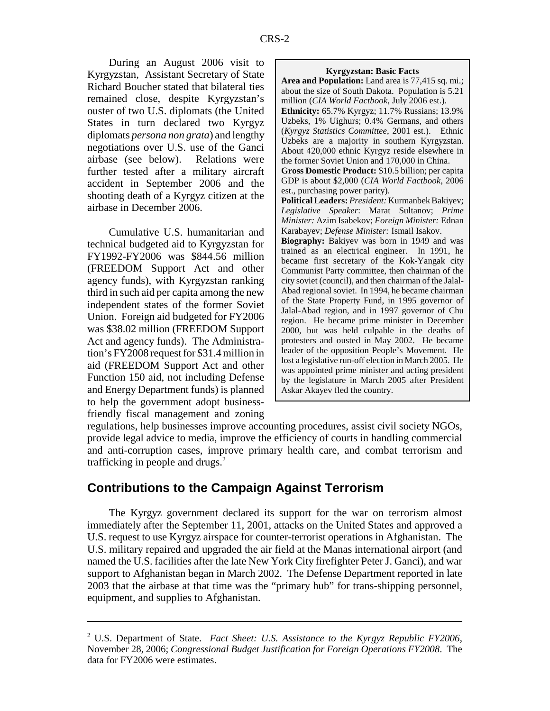During an August 2006 visit to Kyrgyzstan, Assistant Secretary of State Richard Boucher stated that bilateral ties remained close, despite Kyrgyzstan's ouster of two U.S. diplomats (the United States in turn declared two Kyrgyz diplomats *persona non grata*) and lengthy negotiations over U.S. use of the Ganci airbase (see below). Relations were further tested after a military aircraft accident in September 2006 and the shooting death of a Kyrgyz citizen at the airbase in December 2006.

Cumulative U.S. humanitarian and technical budgeted aid to Kyrgyzstan for FY1992-FY2006 was \$844.56 million (FREEDOM Support Act and other agency funds), with Kyrgyzstan ranking third in such aid per capita among the new independent states of the former Soviet Union. Foreign aid budgeted for FY2006 was \$38.02 million (FREEDOM Support Act and agency funds). The Administration's FY2008 request for \$31.4 million in aid (FREEDOM Support Act and other Function 150 aid, not including Defense and Energy Department funds) is planned to help the government adopt businessfriendly fiscal management and zoning

#### **Kyrgyzstan: Basic Facts**

**Area and Population:** Land area is 77,415 sq. mi.; about the size of South Dakota. Population is 5.21 million (*CIA World Factbook*, July 2006 est.). **Ethnicity:** 65.7% Kyrgyz; 11.7% Russians; 13.9% Uzbeks, 1% Uighurs; 0.4% Germans, and others (*Kyrgyz Statistics Committee*, 2001 est.). Ethnic Uzbeks are a majority in southern Kyrgyzstan. About 420,000 ethnic Kyrgyz reside elsewhere in the former Soviet Union and 170,000 in China. **Gross Domestic Product:** \$10.5 billion; per capita GDP is about \$2,000 (*CIA World Factbook*, 2006 est., purchasing power parity). **Political Leaders:** *President:* Kurmanbek Bakiyev; *Legislative Speaker*: Marat Sultanov; *Prime Minister:* Azim Isabekov; *Foreign Minister:* Ednan Karabayev; *Defense Minister:* Ismail Isakov. **Biography:** Bakiyev was born in 1949 and was trained as an electrical engineer. In 1991, he became first secretary of the Kok-Yangak city Communist Party committee, then chairman of the city soviet (council), and then chairman of the Jalal-Abad regional soviet. In 1994, he became chairman of the State Property Fund, in 1995 governor of Jalal-Abad region, and in 1997 governor of Chu region. He became prime minister in December 2000, but was held culpable in the deaths of protesters and ousted in May 2002. He became leader of the opposition People's Movement. He lost a legislative run-off election in March 2005. He was appointed prime minister and acting president by the legislature in March 2005 after President Askar Akayev fled the country.

regulations, help businesses improve accounting procedures, assist civil society NGOs, provide legal advice to media, improve the efficiency of courts in handling commercial and anti-corruption cases, improve primary health care, and combat terrorism and trafficking in people and drugs.<sup>2</sup>

## **Contributions to the Campaign Against Terrorism**

The Kyrgyz government declared its support for the war on terrorism almost immediately after the September 11, 2001, attacks on the United States and approved a U.S. request to use Kyrgyz airspace for counter-terrorist operations in Afghanistan. The U.S. military repaired and upgraded the air field at the Manas international airport (and named the U.S. facilities after the late New York City firefighter Peter J. Ganci), and war support to Afghanistan began in March 2002. The Defense Department reported in late 2003 that the airbase at that time was the "primary hub" for trans-shipping personnel, equipment, and supplies to Afghanistan.

<sup>2</sup> U.S. Department of State. *Fact Sheet: U.S. Assistance to the Kyrgyz Republic FY2006*, November 28, 2006; *Congressional Budget Justification for Foreign Operations FY2008*. The data for FY2006 were estimates.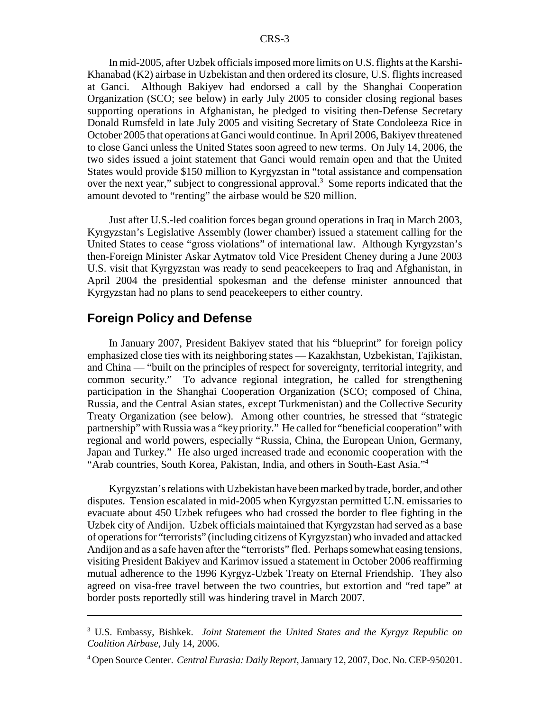In mid-2005, after Uzbek officials imposed more limits on U.S. flights at the Karshi-Khanabad (K2) airbase in Uzbekistan and then ordered its closure, U.S. flights increased at Ganci. Although Bakiyev had endorsed a call by the Shanghai Cooperation Organization (SCO; see below) in early July 2005 to consider closing regional bases supporting operations in Afghanistan, he pledged to visiting then-Defense Secretary Donald Rumsfeld in late July 2005 and visiting Secretary of State Condoleeza Rice in October 2005 that operations at Ganci would continue. In April 2006, Bakiyev threatened to close Ganci unless the United States soon agreed to new terms. On July 14, 2006, the two sides issued a joint statement that Ganci would remain open and that the United States would provide \$150 million to Kyrgyzstan in "total assistance and compensation over the next year," subject to congressional approval.<sup>3</sup> Some reports indicated that the amount devoted to "renting" the airbase would be \$20 million.

Just after U.S.-led coalition forces began ground operations in Iraq in March 2003, Kyrgyzstan's Legislative Assembly (lower chamber) issued a statement calling for the United States to cease "gross violations" of international law. Although Kyrgyzstan's then-Foreign Minister Askar Aytmatov told Vice President Cheney during a June 2003 U.S. visit that Kyrgyzstan was ready to send peacekeepers to Iraq and Afghanistan, in April 2004 the presidential spokesman and the defense minister announced that Kyrgyzstan had no plans to send peacekeepers to either country.

## **Foreign Policy and Defense**

In January 2007, President Bakiyev stated that his "blueprint" for foreign policy emphasized close ties with its neighboring states — Kazakhstan, Uzbekistan, Tajikistan, and China — "built on the principles of respect for sovereignty, territorial integrity, and common security." To advance regional integration, he called for strengthening participation in the Shanghai Cooperation Organization (SCO; composed of China, Russia, and the Central Asian states, except Turkmenistan) and the Collective Security Treaty Organization (see below). Among other countries, he stressed that "strategic partnership" with Russia was a "key priority." He called for "beneficial cooperation" with regional and world powers, especially "Russia, China, the European Union, Germany, Japan and Turkey." He also urged increased trade and economic cooperation with the "Arab countries, South Korea, Pakistan, India, and others in South-East Asia."4

Kyrgyzstan's relations with Uzbekistan have been marked by trade, border, and other disputes. Tension escalated in mid-2005 when Kyrgyzstan permitted U.N. emissaries to evacuate about 450 Uzbek refugees who had crossed the border to flee fighting in the Uzbek city of Andijon. Uzbek officials maintained that Kyrgyzstan had served as a base of operations for "terrorists" (including citizens of Kyrgyzstan) who invaded and attacked Andijon and as a safe haven after the "terrorists" fled. Perhaps somewhat easing tensions, visiting President Bakiyev and Karimov issued a statement in October 2006 reaffirming mutual adherence to the 1996 Kyrgyz-Uzbek Treaty on Eternal Friendship. They also agreed on visa-free travel between the two countries, but extortion and "red tape" at border posts reportedly still was hindering travel in March 2007.

<sup>3</sup> U.S. Embassy, Bishkek. *Joint Statement the United States and the Kyrgyz Republic on Coalition Airbase*, July 14, 2006.

<sup>4</sup> Open Source Center. *Central Eurasia: Daily Report*, January 12, 2007, Doc. No. CEP-950201.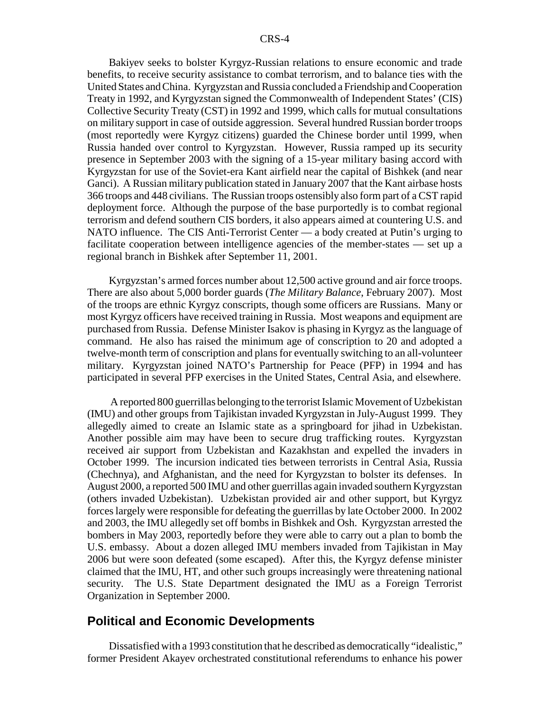Bakiyev seeks to bolster Kyrgyz-Russian relations to ensure economic and trade benefits, to receive security assistance to combat terrorism, and to balance ties with the United States and China. Kyrgyzstan and Russia concluded a Friendship and Cooperation Treaty in 1992, and Kyrgyzstan signed the Commonwealth of Independent States' (CIS) Collective Security Treaty (CST) in 1992 and 1999, which calls for mutual consultations on military support in case of outside aggression. Several hundred Russian border troops (most reportedly were Kyrgyz citizens) guarded the Chinese border until 1999, when Russia handed over control to Kyrgyzstan. However, Russia ramped up its security presence in September 2003 with the signing of a 15-year military basing accord with Kyrgyzstan for use of the Soviet-era Kant airfield near the capital of Bishkek (and near Ganci). A Russian military publication stated in January 2007 that the Kant airbase hosts 366 troops and 448 civilians. The Russian troops ostensibly also form part of a CST rapid deployment force. Although the purpose of the base purportedly is to combat regional terrorism and defend southern CIS borders, it also appears aimed at countering U.S. and NATO influence. The CIS Anti-Terrorist Center — a body created at Putin's urging to facilitate cooperation between intelligence agencies of the member-states — set up a regional branch in Bishkek after September 11, 2001.

Kyrgyzstan's armed forces number about 12,500 active ground and air force troops. There are also about 5,000 border guards (*The Military Balance*, February 2007). Most of the troops are ethnic Kyrgyz conscripts, though some officers are Russians. Many or most Kyrgyz officers have received training in Russia. Most weapons and equipment are purchased from Russia. Defense Minister Isakov is phasing in Kyrgyz as the language of command. He also has raised the minimum age of conscription to 20 and adopted a twelve-month term of conscription and plans for eventually switching to an all-volunteer military. Kyrgyzstan joined NATO's Partnership for Peace (PFP) in 1994 and has participated in several PFP exercises in the United States, Central Asia, and elsewhere.

 A reported 800 guerrillas belonging to the terrorist Islamic Movement of Uzbekistan (IMU) and other groups from Tajikistan invaded Kyrgyzstan in July-August 1999. They allegedly aimed to create an Islamic state as a springboard for jihad in Uzbekistan. Another possible aim may have been to secure drug trafficking routes. Kyrgyzstan received air support from Uzbekistan and Kazakhstan and expelled the invaders in October 1999. The incursion indicated ties between terrorists in Central Asia, Russia (Chechnya), and Afghanistan, and the need for Kyrgyzstan to bolster its defenses. In August 2000, a reported 500 IMU and other guerrillas again invaded southern Kyrgyzstan (others invaded Uzbekistan). Uzbekistan provided air and other support, but Kyrgyz forces largely were responsible for defeating the guerrillas by late October 2000. In 2002 and 2003, the IMU allegedly set off bombs in Bishkek and Osh. Kyrgyzstan arrested the bombers in May 2003, reportedly before they were able to carry out a plan to bomb the U.S. embassy. About a dozen alleged IMU members invaded from Tajikistan in May 2006 but were soon defeated (some escaped). After this, the Kyrgyz defense minister claimed that the IMU, HT, and other such groups increasingly were threatening national security. The U.S. State Department designated the IMU as a Foreign Terrorist Organization in September 2000.

### **Political and Economic Developments**

Dissatisfied with a 1993 constitution that he described as democratically "idealistic," former President Akayev orchestrated constitutional referendums to enhance his power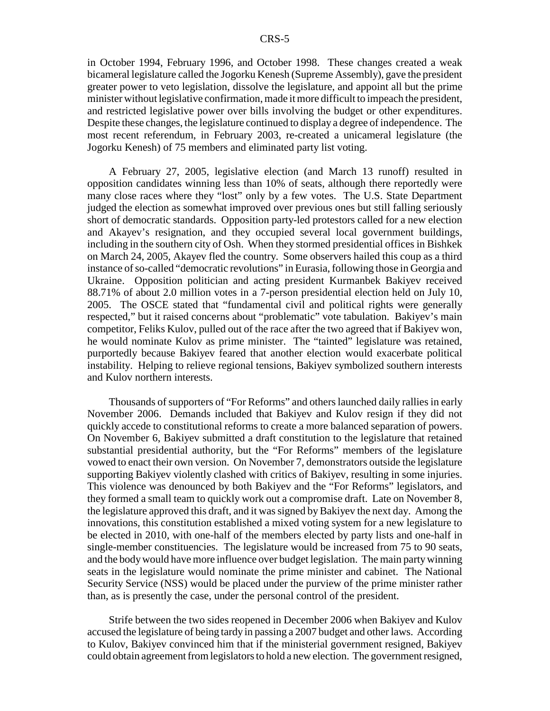in October 1994, February 1996, and October 1998. These changes created a weak bicameral legislature called the Jogorku Kenesh (Supreme Assembly), gave the president greater power to veto legislation, dissolve the legislature, and appoint all but the prime minister without legislative confirmation, made it more difficult to impeach the president, and restricted legislative power over bills involving the budget or other expenditures. Despite these changes, the legislature continued to display a degree of independence. The most recent referendum, in February 2003, re-created a unicameral legislature (the Jogorku Kenesh) of 75 members and eliminated party list voting.

A February 27, 2005, legislative election (and March 13 runoff) resulted in opposition candidates winning less than 10% of seats, although there reportedly were many close races where they "lost" only by a few votes. The U.S. State Department judged the election as somewhat improved over previous ones but still falling seriously short of democratic standards. Opposition party-led protestors called for a new election and Akayev's resignation, and they occupied several local government buildings, including in the southern city of Osh. When they stormed presidential offices in Bishkek on March 24, 2005, Akayev fled the country. Some observers hailed this coup as a third instance of so-called "democratic revolutions" in Eurasia, following those in Georgia and Ukraine. Opposition politician and acting president Kurmanbek Bakiyev received 88.71% of about 2.0 million votes in a 7-person presidential election held on July 10, 2005. The OSCE stated that "fundamental civil and political rights were generally respected," but it raised concerns about "problematic" vote tabulation. Bakiyev's main competitor, Feliks Kulov, pulled out of the race after the two agreed that if Bakiyev won, he would nominate Kulov as prime minister. The "tainted" legislature was retained, purportedly because Bakiyev feared that another election would exacerbate political instability. Helping to relieve regional tensions, Bakiyev symbolized southern interests and Kulov northern interests.

Thousands of supporters of "For Reforms" and others launched daily rallies in early November 2006. Demands included that Bakiyev and Kulov resign if they did not quickly accede to constitutional reforms to create a more balanced separation of powers. On November 6, Bakiyev submitted a draft constitution to the legislature that retained substantial presidential authority, but the "For Reforms" members of the legislature vowed to enact their own version. On November 7, demonstrators outside the legislature supporting Bakiyev violently clashed with critics of Bakiyev, resulting in some injuries. This violence was denounced by both Bakiyev and the "For Reforms" legislators, and they formed a small team to quickly work out a compromise draft. Late on November 8, the legislature approved this draft, and it was signed by Bakiyev the next day. Among the innovations, this constitution established a mixed voting system for a new legislature to be elected in 2010, with one-half of the members elected by party lists and one-half in single-member constituencies. The legislature would be increased from 75 to 90 seats, and the body would have more influence over budget legislation. The main party winning seats in the legislature would nominate the prime minister and cabinet. The National Security Service (NSS) would be placed under the purview of the prime minister rather than, as is presently the case, under the personal control of the president.

Strife between the two sides reopened in December 2006 when Bakiyev and Kulov accused the legislature of being tardy in passing a 2007 budget and other laws. According to Kulov, Bakiyev convinced him that if the ministerial government resigned, Bakiyev could obtain agreement from legislators to hold a new election. The government resigned,